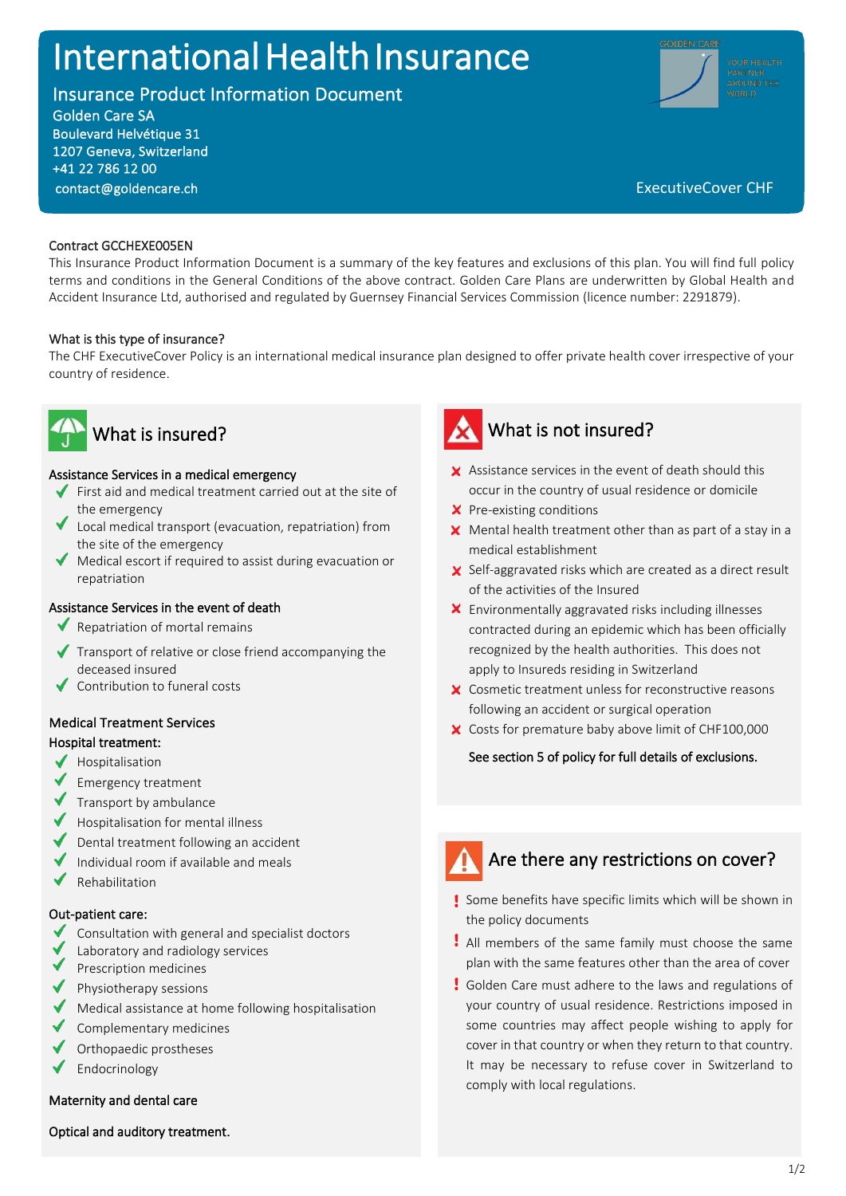# International Health Insurance

Insurance Product Information Document

Golden Care SA Boulevard Helvétique 31 1207 Geneva, Switzerland +41 22 786 12 00



### [contact@goldencare.ch](mailto:contact@goldencare.ch) executiveCover CHF

### Contract GCCHEXE005EN

l<br>L

This Insurance Product Information Document is a summary of the key features and exclusions of this plan. You will find full policy terms and conditions in the General Conditions of the above contract. Golden Care Plans are underwritten by Global Health and Accident Insurance Ltd, authorised and regulated by Guernsey Financial Services Commission (licence number: 2291879).

### What is this type of insurance?

The CHF ExecutiveCover Policy is an international medical insurance plan designed to offer private health cover irrespective of your country of residence.



### Assistance Services in a medical emergency

- First aid and medical treatment carried out at the site of the emergency
- Local medical transport (evacuation, repatriation) from the site of the emergency
- Medical escort if required to assist during evacuation or repatriation

### Assistance Services in the event of death

- Repatriation of mortal remains
- $\blacktriangleright$  Transport of relative or close friend accompanying the deceased insured
- Contribution to funeral costs

### Medical Treatment Services

### Hospital treatment:

- $\blacklozenge$  Hospitalisation
- Emergency treatment
- $\blacktriangledown$  Transport by ambulance
- Hospitalisation for mental illness
- Dental treatment following an accident
- $\blacktriangleright$  Individual room if available and meals
- ✔ Rehabilitation

#### Out-patient care:

- Consultation with general and specialist doctors
- Laboratory and radiology services
- Prescription medicines
- $\blacklozenge$  Physiotherapy sessions
- Medical assistance at home following hospitalisation
- Complementary medicines
- Orthopaedic prostheses
- Endocrinology

#### Maternity and dental care

Optical and auditory treatment.



### What is not insured?

- $\times$  Assistance services in the event of death should this occur in the country of usual residence or domicile
- **X** Pre-existing conditions
- $\boldsymbol{\times}$  Mental health treatment other than as part of a stay in a medical establishment
- Self-aggravated risks which are created as a direct result of the activities of the Insured
- Environmentally aggravated risks including illnesses contracted during an epidemic which has been officially recognized by the health authorities. This does not apply to Insureds residing in Switzerland
- X Cosmetic treatment unless for reconstructive reasons following an accident or surgical operation
- X Costs for premature baby above limit of CHF100,000

#### See section 5 of policy for full details of exclusions.

## Are there any restrictions on cover?

- Some benefits have specific limits which will be shown in the policy documents
- All members of the same family must choose the same plan with the same features other than the area of cover
- Golden Care must adhere to the laws and regulations of your country of usual residence. Restrictions imposed in some countries may affect people wishing to apply for cover in that country or when they return to that country. It may be necessary to refuse cover in Switzerland to comply with local regulations.